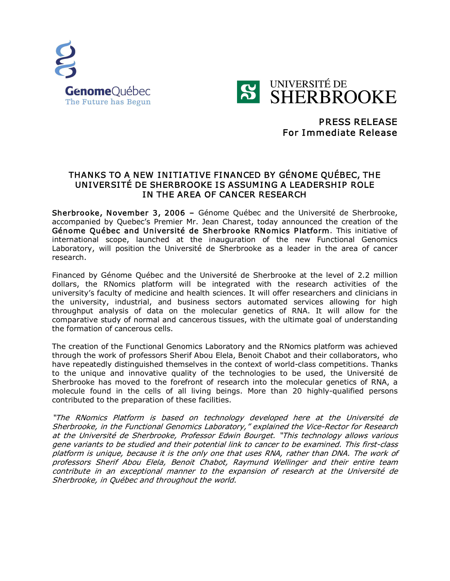



## PRESS RELEASE For Immediate Release

## THANKS TO A NEW INITIATIVE FINANCED BY GÉNOME QUÉBEC, THE UNIVERSITÉ DE SHERBROOKE IS ASSUMING A LEADERSHIP ROLE IN THE AREA OF CANCER RESEARCH

Sherbrooke, November 3, 2006 – Génome Québec and the Université de Sherbrooke, accompanied by Quebec's Premier Mr. Jean Charest, today announced the creation of the Génome Québec and Université de Sherbrooke RNomics Platform. This initiative of international scope, launched at the inauguration of the new Functional Genomics Laboratory, will position the Université de Sherbrooke as a leader in the area of cancer research.

Financed by Génome Québec and the Université de Sherbrooke at the level of 2.2 million dollars, the RNomics platform will be integrated with the research activities of the university's faculty of medicine and health sciences. It will offer researchers and clinicians in the university, industrial, and business sectors automated services allowing for high throughput analysis of data on the molecular genetics of RNA. It will allow for the comparative study of normal and cancerous tissues, with the ultimate goal of understanding the formation of cancerous cells.

The creation of the Functional Genomics Laboratory and the RNomics platform was achieved through the work of professors Sherif Abou Elela, Benoit Chabot and their collaborators, who have repeatedly distinguished themselves in the context of world-class competitions. Thanks to the unique and innovative quality of the technologies to be used, the Université de Sherbrooke has moved to the forefront of research into the molecular genetics of RNA, a molecule found in the cells of all living beings. More than 20 highly-qualified persons contributed to the preparation of these facilities.

"The RNomics Platform is based on technology developed here at the Université de Sherbrooke, in the Functional Genomics Laboratory," explained the Vice-Rector for Research at the Université de Sherbrooke, Professor Edwin Bourget. "This technology allows various gene variants to be studied and their potential link to cancer to be examined. This first-class platform is unique, because it is the only one that uses RNA, rather than DNA. The work of professors Sherif Abou Elela, Benoit Chabot, Raymund Wellinger and their entire team contribute in an exceptional manner to the expansion of research at the Université de Sherbrooke, in Québec and throughout the world.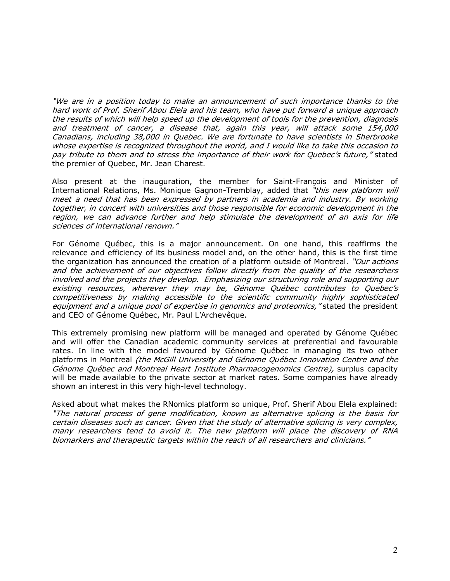"We are in <sup>a</sup> position today to make an announcement of such importance thanks to the hard work of Prof. Sherif Abou Elela and his team, who have put forward a unique approach the results of which will help speed up the development of tools for the prevention, diagnosis and treatment of cancer, <sup>a</sup> disease that, again this year, will attack some 154,000 Canadians, including 38,000 in Quebec. We are fortunate to have scientists in Sherbrooke whose expertise is recognized throughout the world, and I would like to take this occasion to pay tribute to them and to stress the importance of their work for Quebec's future," stated the premier of Quebec, Mr. Jean Charest.

Also present at the inauguration, the member for Saint-François and Minister of International Relations, Ms. Monique Gagnon-Tremblay, added that "this new platform will meet a need that has been expressed by partners in academia and industry. By working together, in concert with universities and those responsible for economic development in the region, we can advance further and help stimulate the development of an axis for life sciences of international renown."

For Génome Québec, this is a major announcement. On one hand, this reaffirms the relevance and efficiency of its business model and, on the other hand, this is the first time the organization has announced the creation of a platform outside of Montreal. "Our actions and the achievement of our objectives follow directly from the quality of the researchers involved and the projects they develop. Emphasizing our structuring role and supporting our existing resources, wherever they may be, Génome Québec contributes to Quebec's competitiveness by making accessible to the scientific community highly sophisticated equipment and a unique pool of expertise in genomics and proteomics," stated the president and CEO of Génome Québec, Mr. Paul L'Archevêque.

This extremely promising new platform will be managed and operated by Génome Québec and will offer the Canadian academic community services at preferential and favourable rates. In line with the model favoured by Génome Québec in managing its two other platforms in Montreal (the McGill University and Génome Québec Innovation Centre and the Génome Québec and Montreal Heart Institute Pharmacogenomics Centre), surplus capacity will be made available to the private sector at market rates. Some companies have already shown an interest in this very high-level technology.

Asked about what makes the RNomics platform so unique, Prof. Sherif Abou Elela explained: "The natural process of gene modification, known as alternative splicing is the basis for certain diseases such as cancer. Given that the study of alternative splicing is very complex, many researchers tend to avoid it. The new platform will place the discovery of RNA biomarkers and therapeutic targets within the reach of all researchers and clinicians."